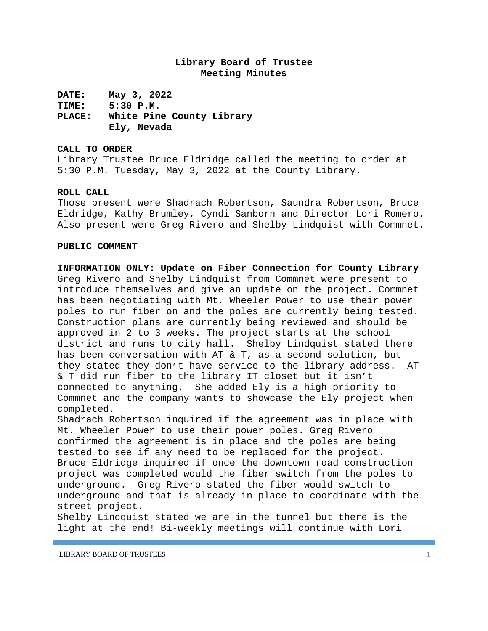### **Library Board of Trustee Meeting Minutes**

**DATE: May 3, 2022 TIME: 5:30 P.M. PLACE: White Pine County Library Ely, Nevada**

#### **CALL TO ORDER**

Library Trustee Bruce Eldridge called the meeting to order at 5:30 P.M. Tuesday, May 3, 2022 at the County Library**.**

### **ROLL CALL**

Those present were Shadrach Robertson, Saundra Robertson, Bruce Eldridge, Kathy Brumley, Cyndi Sanborn and Director Lori Romero. Also present were Greg Rivero and Shelby Lindquist with Commnet.

#### **PUBLIC COMMENT**

**INFORMATION ONLY: Update on Fiber Connection for County Library** Greg Rivero and Shelby Lindquist from Commnet were present to introduce themselves and give an update on the project. Commnet has been negotiating with Mt. Wheeler Power to use their power poles to run fiber on and the poles are currently being tested. Construction plans are currently being reviewed and should be approved in 2 to 3 weeks. The project starts at the school district and runs to city hall. Shelby Lindquist stated there has been conversation with AT & T, as a second solution, but they stated they don't have service to the library address. AT & T did run fiber to the library IT closet but it isn't connected to anything. She added Ely is a high priority to Commnet and the company wants to showcase the Ely project when completed.

Shadrach Robertson inquired if the agreement was in place with Mt. Wheeler Power to use their power poles. Greg Rivero confirmed the agreement is in place and the poles are being tested to see if any need to be replaced for the project. Bruce Eldridge inquired if once the downtown road construction project was completed would the fiber switch from the poles to underground. Greg Rivero stated the fiber would switch to underground and that is already in place to coordinate with the street project.

Shelby Lindquist stated we are in the tunnel but there is the light at the end! Bi-weekly meetings will continue with Lori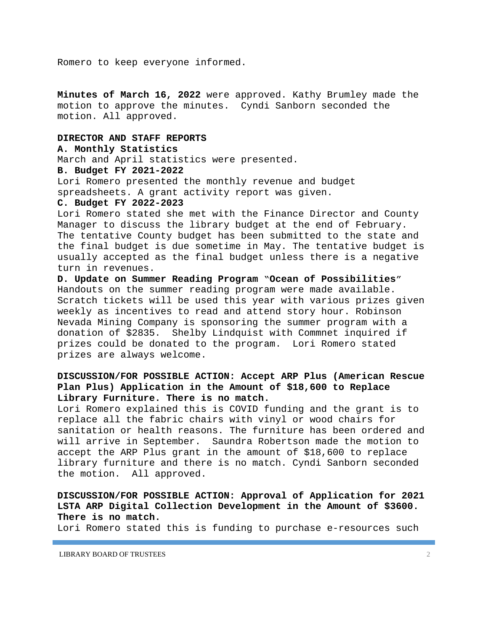Romero to keep everyone informed.

**Minutes of March 16, 2022** were approved. Kathy Brumley made the motion to approve the minutes. Cyndi Sanborn seconded the motion. All approved.

#### **DIRECTOR AND STAFF REPORTS**

### **A. Monthly Statistics**

March and April statistics were presented.

### **B. Budget FY 2021-2022**

Lori Romero presented the monthly revenue and budget spreadsheets. A grant activity report was given.

### **C. Budget FY 2022-2023**

Lori Romero stated she met with the Finance Director and County Manager to discuss the library budget at the end of February. The tentative County budget has been submitted to the state and the final budget is due sometime in May. The tentative budget is usually accepted as the final budget unless there is a negative turn in revenues.

**D. Update on Summer Reading Program "Ocean of Possibilities"** Handouts on the summer reading program were made available. Scratch tickets will be used this year with various prizes given weekly as incentives to read and attend story hour. Robinson Nevada Mining Company is sponsoring the summer program with a donation of \$2835. Shelby Lindquist with Commnet inquired if prizes could be donated to the program. Lori Romero stated prizes are always welcome.

## **DISCUSSION/FOR POSSIBLE ACTION: Accept ARP Plus (American Rescue Plan Plus) Application in the Amount of \$18,600 to Replace Library Furniture. There is no match.**

Lori Romero explained this is COVID funding and the grant is to replace all the fabric chairs with vinyl or wood chairs for sanitation or health reasons. The furniture has been ordered and will arrive in September. Saundra Robertson made the motion to accept the ARP Plus grant in the amount of \$18,600 to replace library furniture and there is no match. Cyndi Sanborn seconded the motion. All approved.

# **DISCUSSION/FOR POSSIBLE ACTION: Approval of Application for 2021 LSTA ARP Digital Collection Development in the Amount of \$3600. There is no match.**

Lori Romero stated this is funding to purchase e-resources such

LIBRARY BOARD OF TRUSTEES 2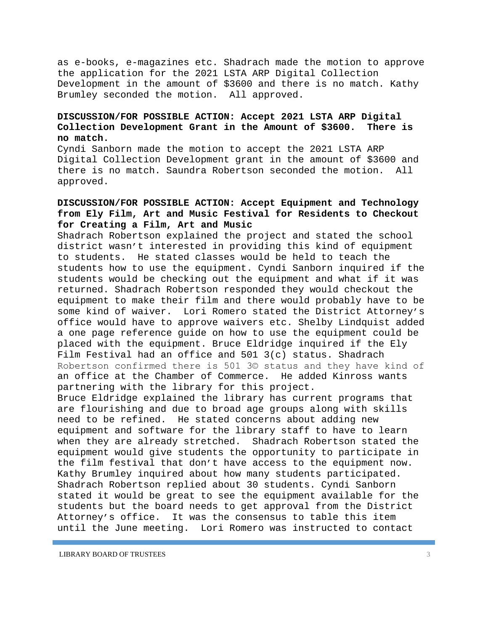as e-books, e-magazines etc. Shadrach made the motion to approve the application for the 2021 LSTA ARP Digital Collection Development in the amount of \$3600 and there is no match. Kathy Brumley seconded the motion. All approved.

## **DISCUSSION/FOR POSSIBLE ACTION: Accept 2021 LSTA ARP Digital Collection Development Grant in the Amount of \$3600. There is no match.**

Cyndi Sanborn made the motion to accept the 2021 LSTA ARP Digital Collection Development grant in the amount of \$3600 and there is no match. Saundra Robertson seconded the motion. All approved.

## **DISCUSSION/FOR POSSIBLE ACTION: Accept Equipment and Technology from Ely Film, Art and Music Festival for Residents to Checkout for Creating a Film, Art and Music**

Shadrach Robertson explained the project and stated the school district wasn't interested in providing this kind of equipment to students. He stated classes would be held to teach the students how to use the equipment. Cyndi Sanborn inquired if the students would be checking out the equipment and what if it was returned. Shadrach Robertson responded they would checkout the equipment to make their film and there would probably have to be some kind of waiver. Lori Romero stated the District Attorney's office would have to approve waivers etc. Shelby Lindquist added a one page reference guide on how to use the equipment could be placed with the equipment. Bruce Eldridge inquired if the Ely Film Festival had an office and 501 3(c) status. Shadrach Robertson confirmed there is 501 3© status and they have kind of an office at the Chamber of Commerce. He added Kinross wants partnering with the library for this project.

Bruce Eldridge explained the library has current programs that are flourishing and due to broad age groups along with skills need to be refined. He stated concerns about adding new equipment and software for the library staff to have to learn when they are already stretched. Shadrach Robertson stated the equipment would give students the opportunity to participate in the film festival that don't have access to the equipment now. Kathy Brumley inquired about how many students participated. Shadrach Robertson replied about 30 students. Cyndi Sanborn stated it would be great to see the equipment available for the students but the board needs to get approval from the District Attorney's office. It was the consensus to table this item until the June meeting. Lori Romero was instructed to contact